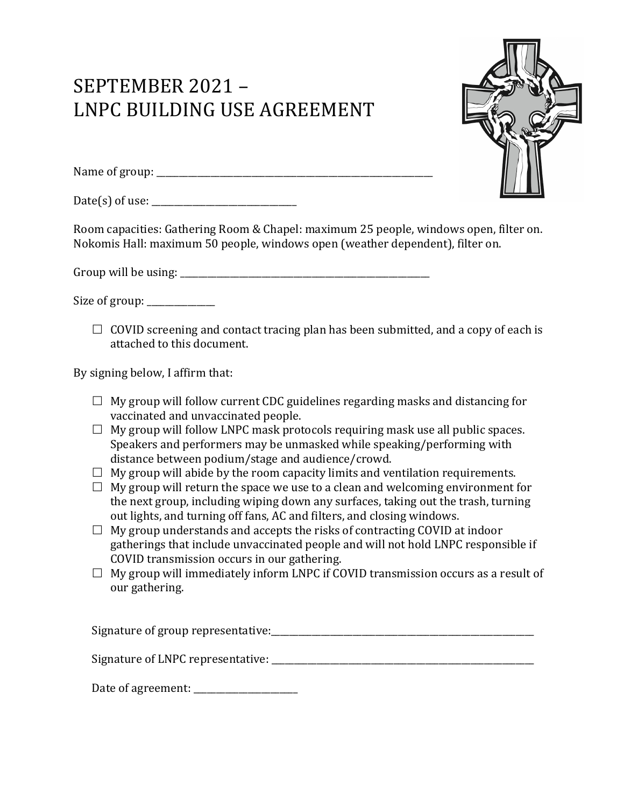## SEPTEMBER 2021 -LNPC BUILDING USE AGREEMENT

Name of group: \_\_\_\_\_\_\_\_\_\_\_\_\_\_\_\_\_\_\_\_\_\_\_\_\_\_\_\_\_\_\_\_\_\_\_\_\_\_\_\_\_\_\_\_\_\_\_\_\_\_\_\_\_\_\_\_\_\_\_\_\_

 $Date(s)$  of use:  $\_\_$ 

Room capacities: Gathering Room & Chapel: maximum 25 people, windows open, filter on. Nokomis Hall: maximum 50 people, windows open (weather dependent), filter on.

Group will be using: \_\_\_\_\_\_\_\_\_\_\_\_\_\_\_\_\_\_\_\_\_\_\_\_\_\_\_\_\_\_\_\_\_\_\_\_\_\_\_\_\_\_\_\_\_\_\_\_\_\_\_\_\_\_\_

Size of group:

 $\Box$  COVID screening and contact tracing plan has been submitted, and a copy of each is attached to this document.

By signing below, I affirm that:

- $\Box$  My group will follow current CDC guidelines regarding masks and distancing for vaccinated and unvaccinated people.
- $\Box$  My group will follow LNPC mask protocols requiring mask use all public spaces. Speakers and performers may be unmasked while speaking/performing with distance between podium/stage and audience/crowd.
- $\Box$  My group will abide by the room capacity limits and ventilation requirements.
- $\Box$  My group will return the space we use to a clean and welcoming environment for the next group, including wiping down any surfaces, taking out the trash, turning out lights, and turning off fans, AC and filters, and closing windows.
- $\Box$  My group understands and accepts the risks of contracting COVID at indoor gatherings that include unvaccinated people and will not hold LNPC responsible if COVID transmission occurs in our gathering.
- $\Box$  My group will immediately inform LNPC if COVID transmission occurs as a result of our gathering.

Signature of group representative:\_\_\_\_\_\_\_\_\_\_\_\_\_\_\_\_\_\_\_\_\_\_\_\_\_\_\_\_\_\_\_\_\_\_\_\_\_\_\_\_\_\_\_\_\_\_\_\_\_\_\_\_\_\_\_\_\_\_

Signature of LNPC representative: \_\_\_\_\_\_\_\_\_\_\_\_\_\_\_\_\_\_\_\_\_\_\_\_\_\_\_\_\_\_\_\_\_\_\_\_\_\_\_\_\_\_\_\_\_\_\_\_\_\_\_\_\_\_\_\_\_\_

Date of agreement: \_\_\_\_\_\_\_\_\_\_\_\_\_\_\_\_\_\_\_\_\_\_\_